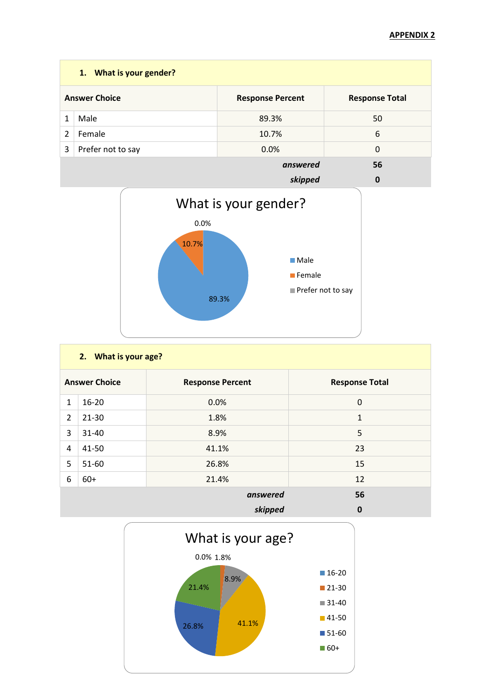|   | 1. What is your gender? |                         |                       |  |  |
|---|-------------------------|-------------------------|-----------------------|--|--|
|   | <b>Answer Choice</b>    | <b>Response Percent</b> | <b>Response Total</b> |  |  |
|   | Male                    | 89.3%                   | 50                    |  |  |
| 2 | Female                  | 10.7%                   | 6                     |  |  |
| 3 | Prefer not to say       | 0.0%                    | $\Omega$              |  |  |
|   |                         | answered                | 56                    |  |  |
|   |                         | .                       | $\sim$                |  |  |



|                      | 2. What is your age? |                         |                       |  |
|----------------------|----------------------|-------------------------|-----------------------|--|
| <b>Answer Choice</b> |                      | <b>Response Percent</b> | <b>Response Total</b> |  |
| $\mathbf{1}$         | $16 - 20$            | 0.0%                    | $\mathbf 0$           |  |
| $\overline{2}$       | $21 - 30$            | 1.8%                    | $\mathbf{1}$          |  |
| 3                    | 31-40                | 8.9%                    | 5                     |  |
| 4                    | 41-50                | 41.1%                   | 23                    |  |
| 5                    | 51-60                | 26.8%                   | 15                    |  |
| 6                    | $60+$                | 21.4%                   | 12                    |  |
|                      | 56<br>answered       |                         |                       |  |
|                      |                      | skipped                 | $\bf{0}$              |  |

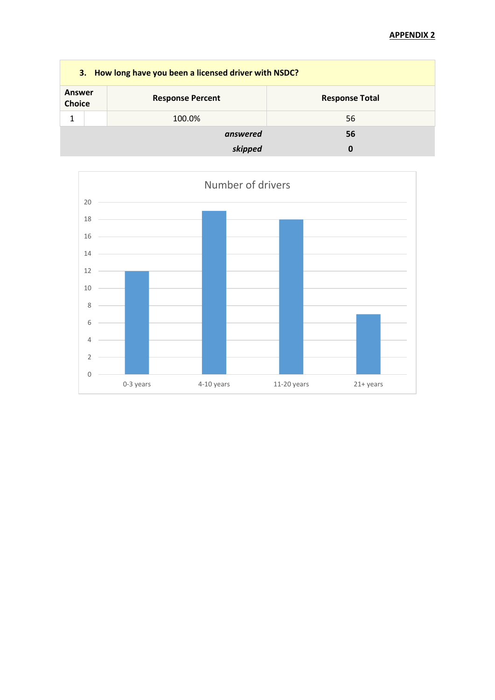| 3. How long have you been a licensed driver with NSDC? |  |                         |                       |
|--------------------------------------------------------|--|-------------------------|-----------------------|
| Answer<br><b>Choice</b>                                |  | <b>Response Percent</b> | <b>Response Total</b> |
| 1                                                      |  | 100.0%                  | 56                    |
|                                                        |  | answered                | 56                    |
|                                                        |  | skipped                 | 0                     |

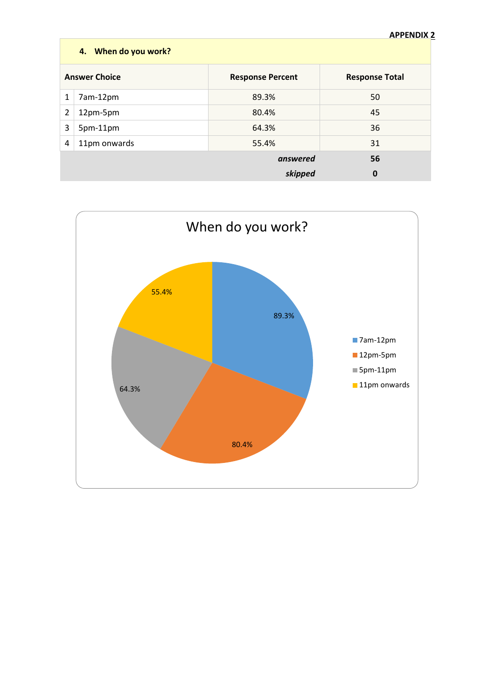|   | AFFLIVUIA.<br>4. When do you work? |                         |                       |  |
|---|------------------------------------|-------------------------|-----------------------|--|
|   | <b>Answer Choice</b>               | <b>Response Percent</b> | <b>Response Total</b> |  |
| 1 | 7am-12pm                           | 89.3%                   | 50                    |  |
| 2 | 12pm-5pm                           | 80.4%                   | 45                    |  |
| 3 | 5pm-11pm                           | 64.3%                   | 36                    |  |
| 4 | 11pm onwards                       | 55.4%                   | 31                    |  |
|   |                                    | answered                | 56                    |  |
|   |                                    | skipped                 | 0                     |  |

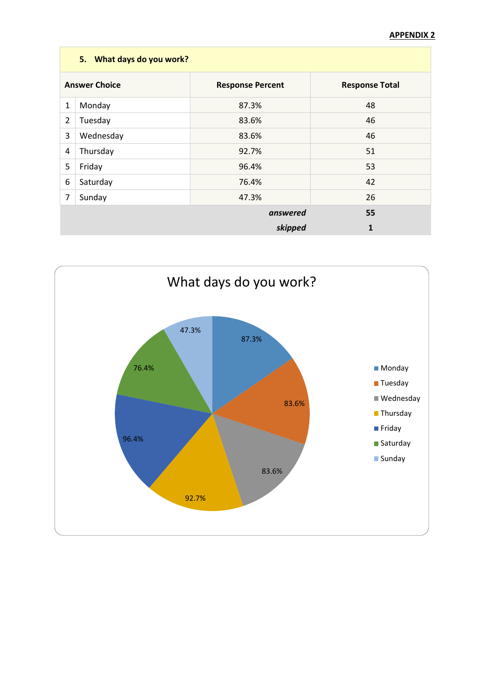|                                                                          | 5. What days do you work? |          |    |  |
|--------------------------------------------------------------------------|---------------------------|----------|----|--|
| <b>Answer Choice</b><br><b>Response Percent</b><br><b>Response Total</b> |                           |          |    |  |
| 1                                                                        | Monday                    | 87.3%    | 48 |  |
| 2                                                                        | Tuesday                   | 83.6%    | 46 |  |
| 3                                                                        | Wednesday                 | 83.6%    | 46 |  |
| 4                                                                        | Thursday                  | 92.7%    | 51 |  |
| 5                                                                        | Friday                    | 96.4%    | 53 |  |
| 6                                                                        | Saturday                  | 76.4%    | 42 |  |
| $\overline{7}$                                                           | Sunday                    | 47.3%    | 26 |  |
|                                                                          |                           | answered | 55 |  |
|                                                                          |                           | skipped  | 1  |  |

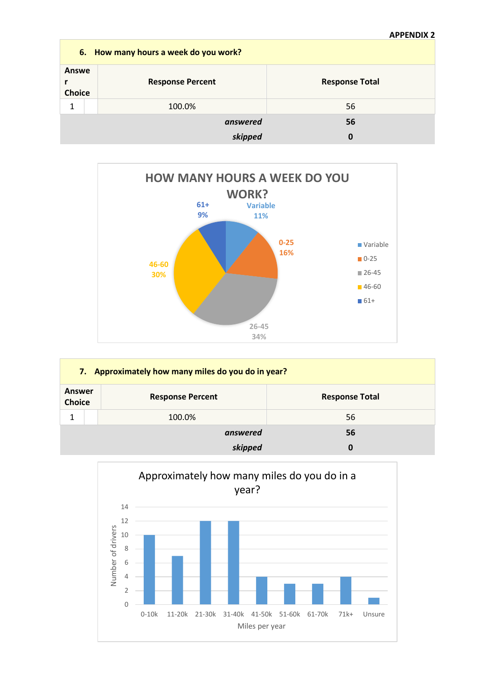|                        | 6. How many hours a week do you work? |                       |  |  |
|------------------------|---------------------------------------|-----------------------|--|--|
| Answe<br><b>Choice</b> | <b>Response Percent</b>               | <b>Response Total</b> |  |  |
| 1                      | 100.0%                                | 56                    |  |  |
|                        | answered                              | 56                    |  |  |
|                        | skipped                               | 0                     |  |  |



| 7. Approximately how many miles do you do in year? |                         |                       |  |
|----------------------------------------------------|-------------------------|-----------------------|--|
| <b>Answer</b><br><b>Choice</b>                     | <b>Response Percent</b> | <b>Response Total</b> |  |
| 1                                                  | 100.0%                  | 56                    |  |
|                                                    | answered                | 56                    |  |
|                                                    | skipped                 | 0                     |  |

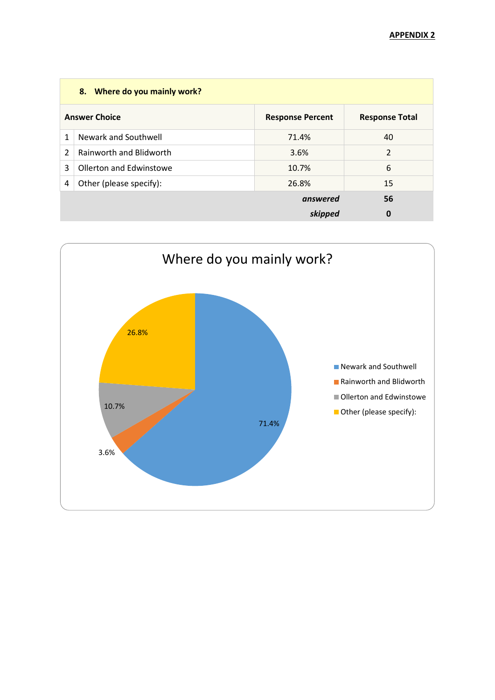|                | 8. Where do you mainly work?   |                         |                       |  |
|----------------|--------------------------------|-------------------------|-----------------------|--|
|                | <b>Answer Choice</b>           | <b>Response Percent</b> | <b>Response Total</b> |  |
| 1              | Newark and Southwell           | 71.4%                   | 40                    |  |
| $\overline{2}$ | <b>Rainworth and Blidworth</b> | 3.6%                    | $\overline{2}$        |  |
| 3              | Ollerton and Edwinstowe        | 10.7%                   | 6                     |  |
| 4              | Other (please specify):        | 26.8%                   | 15                    |  |
|                |                                | answered                | 56                    |  |
|                |                                | skipped                 | 0                     |  |

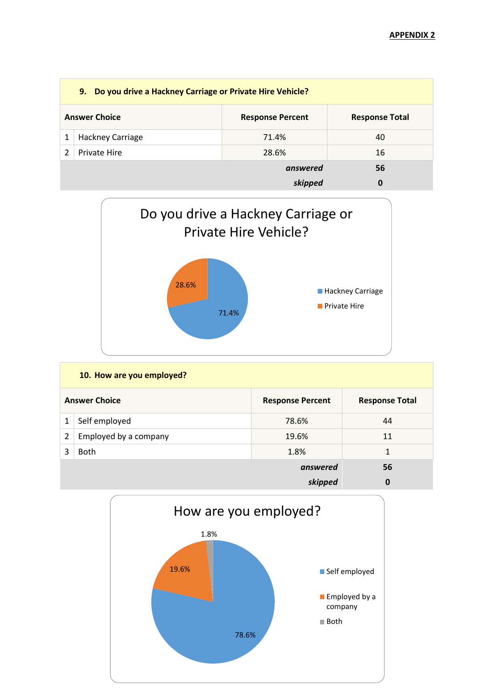| 9. Do you drive a Hackney Carriage or Private Hire Vehicle? |                      |                         |                       |
|-------------------------------------------------------------|----------------------|-------------------------|-----------------------|
|                                                             | <b>Answer Choice</b> | <b>Response Percent</b> | <b>Response Total</b> |
|                                                             | Hackney Carriage     | 71.4%                   | 40                    |
|                                                             | Private Hire         | 28.6%                   | 16                    |
|                                                             |                      | answered                | 56                    |
|                                                             |                      | skipped                 | 0                     |



|                | 10. How are you employed? |                         |                       |  |
|----------------|---------------------------|-------------------------|-----------------------|--|
|                | <b>Answer Choice</b>      | <b>Response Percent</b> | <b>Response Total</b> |  |
| 1              | Self employed             | 78.6%                   | 44                    |  |
| $\overline{2}$ | Employed by a company     | 19.6%                   | 11                    |  |
| ς              | <b>Both</b>               | 1.8%                    | 1                     |  |
|                |                           | answered                | 56                    |  |
|                |                           | skipped                 | $\mathbf 0$           |  |

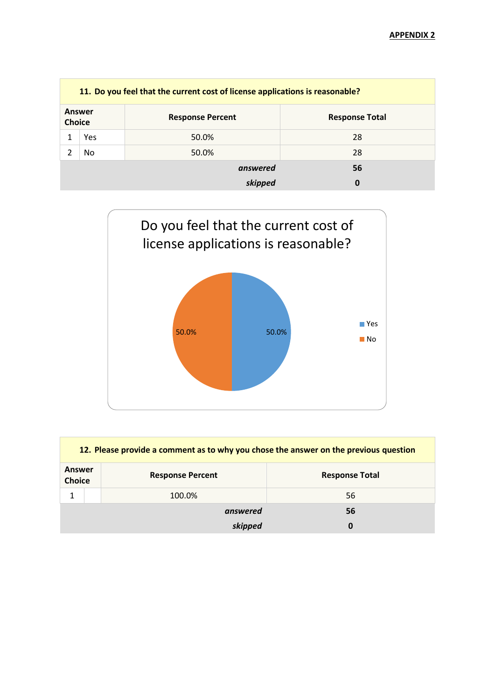| 11. Do you feel that the current cost of license applications is reasonable? |               |                         |                       |
|------------------------------------------------------------------------------|---------------|-------------------------|-----------------------|
| <b>Choice</b>                                                                | <b>Answer</b> | <b>Response Percent</b> | <b>Response Total</b> |
|                                                                              | Yes           | 50.0%                   | 28                    |
|                                                                              | No.           | 50.0%                   | 28                    |
|                                                                              |               | answered                | 56                    |
|                                                                              |               | skipped                 | 0                     |



| 12. Please provide a comment as to why you chose the answer on the previous question |              |                         |                       |
|--------------------------------------------------------------------------------------|--------------|-------------------------|-----------------------|
| Answer<br><b>Choice</b>                                                              |              | <b>Response Percent</b> | <b>Response Total</b> |
|                                                                                      |              | 100.0%                  | 56                    |
|                                                                                      | answered     |                         | 56                    |
|                                                                                      | skipped<br>0 |                         |                       |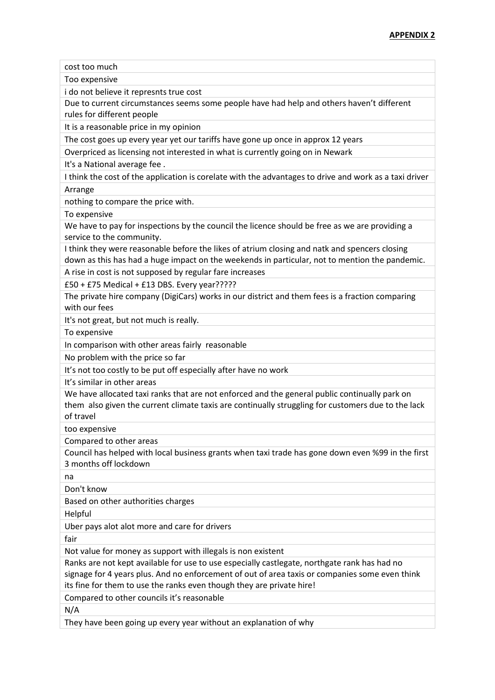cost too much

Too expensive

i do not believe it represnts true cost

Due to current circumstances seems some people have had help and others haven't different rules for different people

It is a reasonable price in my opinion

The cost goes up every year yet our tariffs have gone up once in approx 12 years

Overpriced as licensing not interested in what is currently going on in Newark

It's a National average fee .

I think the cost of the application is corelate with the advantages to drive and work as a taxi driver Arrange

nothing to compare the price with.

To expensive

We have to pay for inspections by the council the licence should be free as we are providing a service to the community.

I think they were reasonable before the likes of atrium closing and natk and spencers closing down as this has had a huge impact on the weekends in particular, not to mention the pandemic.

A rise in cost is not supposed by regular fare increases

£50 + £75 Medical + £13 DBS. Every year?????

The private hire company (DigiCars) works in our district and them fees is a fraction comparing with our fees

It's not great, but not much is really.

To expensive

In comparison with other areas fairly reasonable

No problem with the price so far

It's not too costly to be put off especially after have no work

It's similar in other areas

We have allocated taxi ranks that are not enforced and the general public continually park on them also given the current climate taxis are continually struggling for customers due to the lack of travel

too expensive

Compared to other areas

Council has helped with local business grants when taxi trade has gone down even %99 in the first 3 months off lockdown

na

Don't know

Based on other authorities charges

Helpful

Uber pays alot alot more and care for drivers

fair

Not value for money as support with illegals is non existent

Ranks are not kept available for use to use especially castlegate, northgate rank has had no signage for 4 years plus. And no enforcement of out of area taxis or companies some even think

its fine for them to use the ranks even though they are private hire!

Compared to other councils it's reasonable

N/A

They have been going up every year without an explanation of why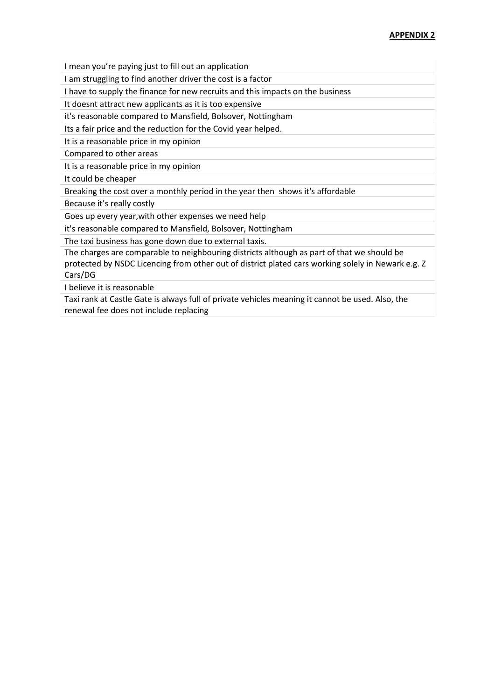I mean you're paying just to fill out an application

I am struggling to find another driver the cost is a factor

I have to supply the finance for new recruits and this impacts on the business

It doesnt attract new applicants as it is too expensive

it's reasonable compared to Mansfield, Bolsover, Nottingham

Its a fair price and the reduction for the Covid year helped.

It is a reasonable price in my opinion

Compared to other areas

It is a reasonable price in my opinion

It could be cheaper

Breaking the cost over a monthly period in the year then shows it's affordable

Because it's really costly

Goes up every year,with other expenses we need help

it's reasonable compared to Mansfield, Bolsover, Nottingham

The taxi business has gone down due to external taxis.

The charges are comparable to neighbouring districts although as part of that we should be protected by NSDC Licencing from other out of district plated cars working solely in Newark e.g. Z Cars/DG

I believe it is reasonable

Taxi rank at Castle Gate is always full of private vehicles meaning it cannot be used. Also, the renewal fee does not include replacing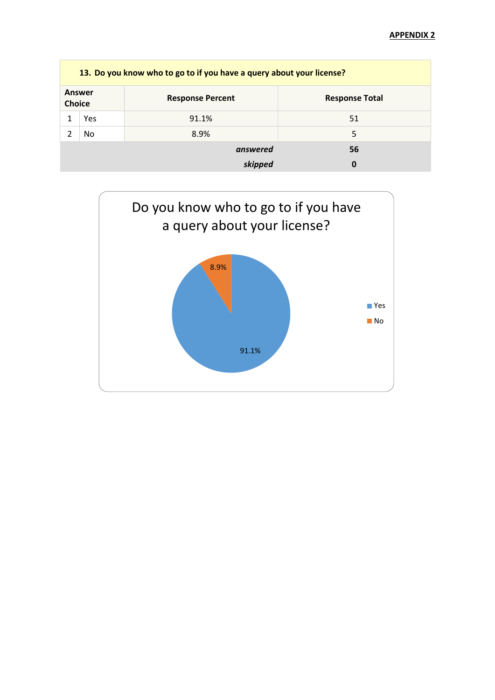|               | 13. Do you know who to go to if you have a query about your license? |                         |                       |  |  |
|---------------|----------------------------------------------------------------------|-------------------------|-----------------------|--|--|
| <b>Choice</b> | <b>Answer</b>                                                        | <b>Response Percent</b> | <b>Response Total</b> |  |  |
|               | Yes                                                                  | 91.1%                   | 51                    |  |  |
|               | No.                                                                  | 8.9%                    | 5                     |  |  |
|               |                                                                      | answered                | 56                    |  |  |
|               |                                                                      | skipped                 | 0                     |  |  |

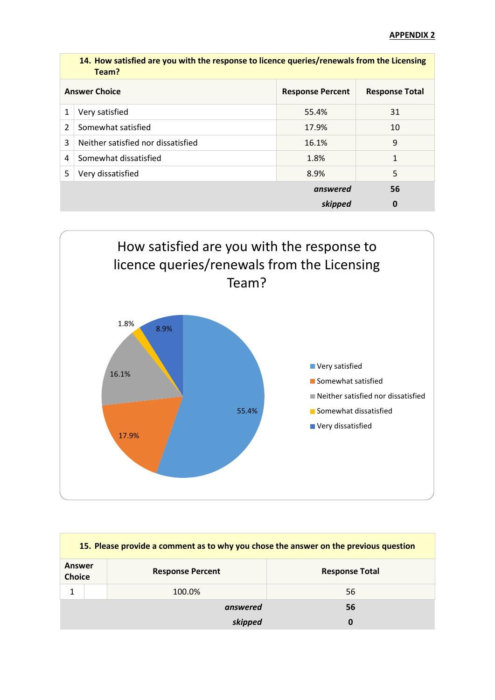|   | 14. How satisfied are you with the response to licence queries/renewals from the Licensing<br>Team? |                         |                       |
|---|-----------------------------------------------------------------------------------------------------|-------------------------|-----------------------|
|   | <b>Answer Choice</b>                                                                                | <b>Response Percent</b> | <b>Response Total</b> |
| 1 | Very satisfied                                                                                      | 55.4%                   | 31                    |
| 2 | Somewhat satisfied                                                                                  | 17.9%                   | 10                    |
| 3 | Neither satisfied nor dissatisfied                                                                  | 16.1%                   | 9                     |
| 4 | Somewhat dissatisfied                                                                               | 1.8%                    | 1                     |
| 5 | Very dissatisfied                                                                                   | 8.9%                    | 5                     |
|   |                                                                                                     | answered                | 56                    |
|   |                                                                                                     | skipped                 | 0                     |



| 15. Please provide a comment as to why you chose the answer on the previous question |                         |                       |  |  |
|--------------------------------------------------------------------------------------|-------------------------|-----------------------|--|--|
| Answer<br><b>Choice</b>                                                              | <b>Response Percent</b> | <b>Response Total</b> |  |  |
|                                                                                      | 100.0%                  | 56                    |  |  |
|                                                                                      | answered                | 56                    |  |  |
|                                                                                      | skipped                 | 0                     |  |  |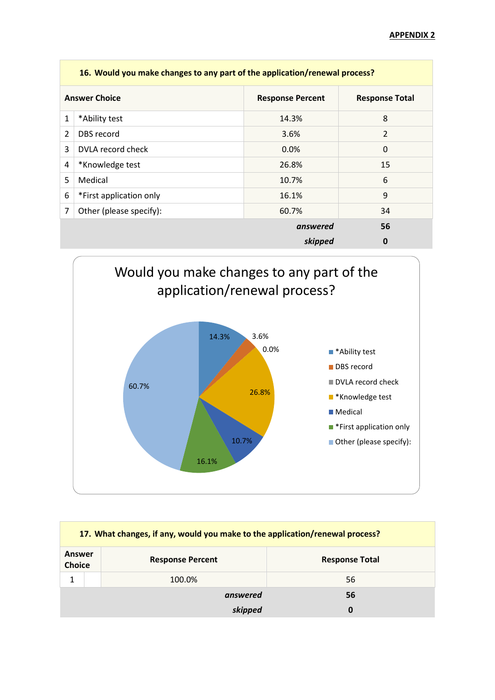|   | 16. Would you make changes to any part of the application/renewal process? |                         |                       |  |  |
|---|----------------------------------------------------------------------------|-------------------------|-----------------------|--|--|
|   | <b>Answer Choice</b>                                                       | <b>Response Percent</b> | <b>Response Total</b> |  |  |
| 1 | *Ability test                                                              | 14.3%                   | 8                     |  |  |
| 2 | DBS record                                                                 | 3.6%                    | $\overline{2}$        |  |  |
| 3 | DVLA record check                                                          | 0.0%                    | 0                     |  |  |
| 4 | *Knowledge test                                                            | 26.8%                   | 15                    |  |  |
| 5 | Medical                                                                    | 10.7%                   | 6                     |  |  |
| 6 | *First application only                                                    | 16.1%                   | 9                     |  |  |
| 7 | Other (please specify):                                                    | 60.7%                   | 34                    |  |  |
|   |                                                                            | answered                | 56                    |  |  |
|   |                                                                            | skipped                 | 0                     |  |  |



| 17. What changes, if any, would you make to the application/renewal process? |  |                         |                       |  |
|------------------------------------------------------------------------------|--|-------------------------|-----------------------|--|
| Answer<br><b>Choice</b>                                                      |  | <b>Response Percent</b> | <b>Response Total</b> |  |
| 1                                                                            |  | 100.0%                  | 56                    |  |
|                                                                              |  | answered                | 56                    |  |
|                                                                              |  | skipped                 | 0                     |  |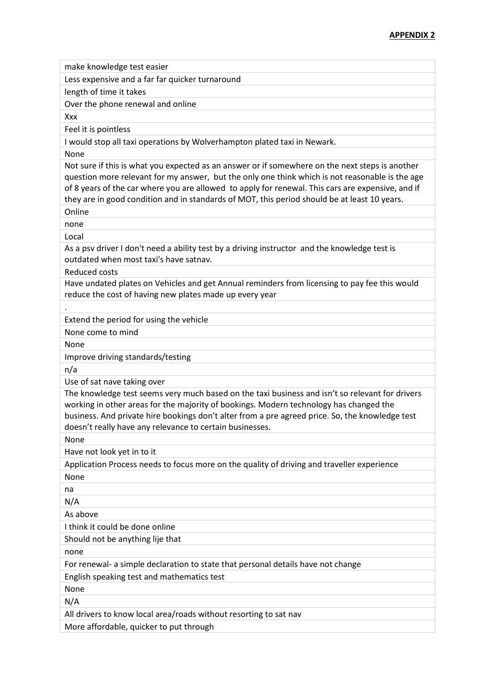| make knowledge test easier                                                                                                                                                                                                                                                                                                                                                                              |
|---------------------------------------------------------------------------------------------------------------------------------------------------------------------------------------------------------------------------------------------------------------------------------------------------------------------------------------------------------------------------------------------------------|
| Less expensive and a far far quicker turnaround                                                                                                                                                                                                                                                                                                                                                         |
| length of time it takes                                                                                                                                                                                                                                                                                                                                                                                 |
| Over the phone renewal and online                                                                                                                                                                                                                                                                                                                                                                       |
| Xxx                                                                                                                                                                                                                                                                                                                                                                                                     |
| Feel it is pointless                                                                                                                                                                                                                                                                                                                                                                                    |
| I would stop all taxi operations by Wolverhampton plated taxi in Newark.                                                                                                                                                                                                                                                                                                                                |
| None                                                                                                                                                                                                                                                                                                                                                                                                    |
| Not sure if this is what you expected as an answer or if somewhere on the next steps is another<br>question more relevant for my answer, but the only one think which is not reasonable is the age<br>of 8 years of the car where you are allowed to apply for renewal. This cars are expensive, and if<br>they are in good condition and in standards of MOT, this period should be at least 10 years. |
| Online                                                                                                                                                                                                                                                                                                                                                                                                  |
| none                                                                                                                                                                                                                                                                                                                                                                                                    |
| Local                                                                                                                                                                                                                                                                                                                                                                                                   |
| As a psv driver I don't need a ability test by a driving instructor and the knowledge test is<br>outdated when most taxi's have satnav.                                                                                                                                                                                                                                                                 |
| <b>Reduced costs</b>                                                                                                                                                                                                                                                                                                                                                                                    |
| Have undated plates on Vehicles and get Annual reminders from licensing to pay fee this would<br>reduce the cost of having new plates made up every year                                                                                                                                                                                                                                                |
|                                                                                                                                                                                                                                                                                                                                                                                                         |
| Extend the period for using the vehicle                                                                                                                                                                                                                                                                                                                                                                 |
| None come to mind                                                                                                                                                                                                                                                                                                                                                                                       |
| None                                                                                                                                                                                                                                                                                                                                                                                                    |
| Improve driving standards/testing                                                                                                                                                                                                                                                                                                                                                                       |
| n/a                                                                                                                                                                                                                                                                                                                                                                                                     |
| Use of sat nave taking over                                                                                                                                                                                                                                                                                                                                                                             |
| The knowledge test seems very much based on the taxi business and isn't so relevant for drivers<br>working in other areas for the majority of bookings. Modern technology has changed the<br>business. And private hire bookings don't alter from a pre agreed price. So, the knowledge test<br>doesn't really have any relevance to certain businesses.                                                |
| None                                                                                                                                                                                                                                                                                                                                                                                                    |
| Have not look yet in to it                                                                                                                                                                                                                                                                                                                                                                              |
| Application Process needs to focus more on the quality of driving and traveller experience                                                                                                                                                                                                                                                                                                              |
| None                                                                                                                                                                                                                                                                                                                                                                                                    |
| na                                                                                                                                                                                                                                                                                                                                                                                                      |
| N/A                                                                                                                                                                                                                                                                                                                                                                                                     |
| As above                                                                                                                                                                                                                                                                                                                                                                                                |
| I think it could be done online                                                                                                                                                                                                                                                                                                                                                                         |
| Should not be anything lije that                                                                                                                                                                                                                                                                                                                                                                        |
| none                                                                                                                                                                                                                                                                                                                                                                                                    |
| For renewal- a simple declaration to state that personal details have not change                                                                                                                                                                                                                                                                                                                        |
| English speaking test and mathematics test                                                                                                                                                                                                                                                                                                                                                              |
| None                                                                                                                                                                                                                                                                                                                                                                                                    |
| N/A                                                                                                                                                                                                                                                                                                                                                                                                     |
| All drivers to know local area/roads without resorting to sat nav                                                                                                                                                                                                                                                                                                                                       |
| More affordable, quicker to put through                                                                                                                                                                                                                                                                                                                                                                 |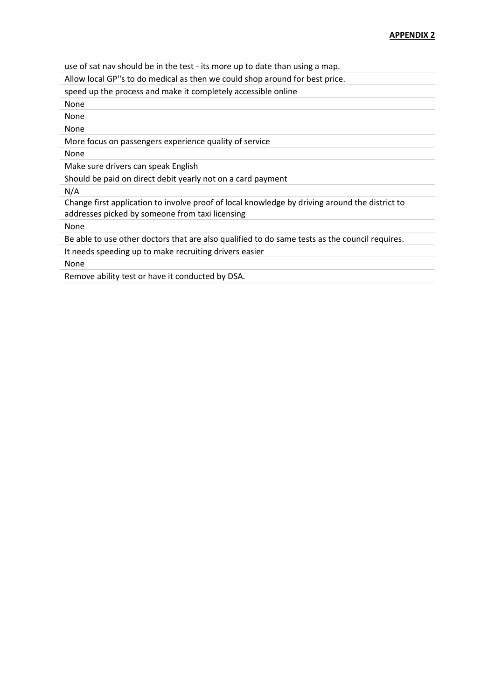| use of sat nav should be in the test - its more up to date than using a map.                                                                      |
|---------------------------------------------------------------------------------------------------------------------------------------------------|
| Allow local GP"s to do medical as then we could shop around for best price.                                                                       |
| speed up the process and make it completely accessible online                                                                                     |
| None                                                                                                                                              |
| None                                                                                                                                              |
| None                                                                                                                                              |
| More focus on passengers experience quality of service                                                                                            |
| None                                                                                                                                              |
| Make sure drivers can speak English                                                                                                               |
| Should be paid on direct debit yearly not on a card payment                                                                                       |
| N/A                                                                                                                                               |
| Change first application to involve proof of local knowledge by driving around the district to<br>addresses picked by someone from taxi licensing |
| None                                                                                                                                              |
| Be able to use other doctors that are also qualified to do same tests as the council requires.                                                    |
| It needs speeding up to make recruiting drivers easier                                                                                            |
| None                                                                                                                                              |
| Remove ability test or have it conducted by DSA.                                                                                                  |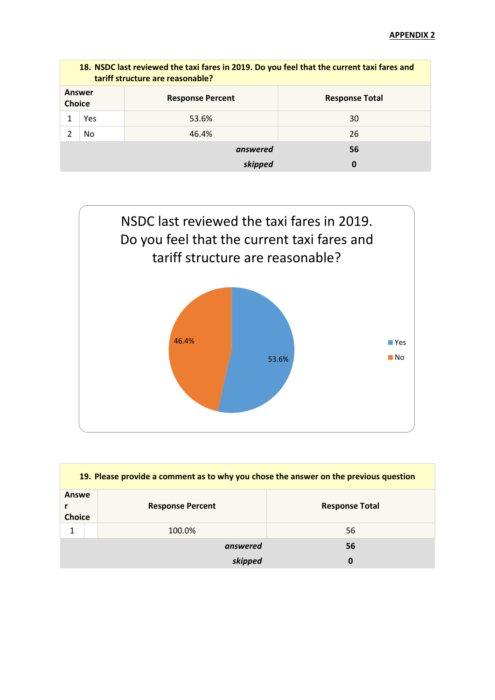|                         | 18. NSDC last reviewed the taxi fares in 2019. Do you feel that the current taxi fares and<br>tariff structure are reasonable? |                         |                       |  |  |
|-------------------------|--------------------------------------------------------------------------------------------------------------------------------|-------------------------|-----------------------|--|--|
| Answer<br><b>Choice</b> |                                                                                                                                | <b>Response Percent</b> | <b>Response Total</b> |  |  |
|                         | Yes                                                                                                                            | 53.6%                   | 30                    |  |  |
|                         | No.                                                                                                                            | 46.4%                   | 26                    |  |  |
|                         |                                                                                                                                | answered                | 56                    |  |  |
|                         |                                                                                                                                | skipped                 | 0                     |  |  |



| 19. Please provide a comment as to why you chose the answer on the previous question |                         |                       |  |  |
|--------------------------------------------------------------------------------------|-------------------------|-----------------------|--|--|
| Answe<br><b>Choice</b>                                                               | <b>Response Percent</b> | <b>Response Total</b> |  |  |
| 1                                                                                    | 100.0%                  | 56                    |  |  |
|                                                                                      | answered                | 56                    |  |  |
|                                                                                      | skipped                 | $\bf{0}$              |  |  |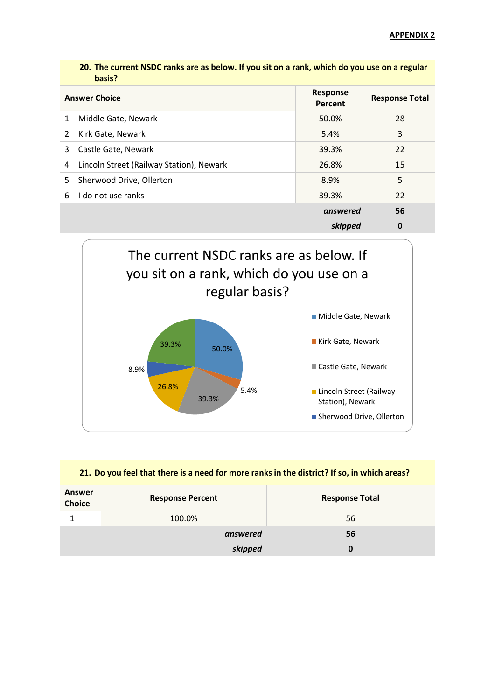|   | 20. The current NSDC ranks are as below. If you sit on a rank, which do you use on a regular<br>basis? |                            |                       |
|---|--------------------------------------------------------------------------------------------------------|----------------------------|-----------------------|
|   | <b>Answer Choice</b>                                                                                   | <b>Response</b><br>Percent | <b>Response Total</b> |
| 1 | Middle Gate, Newark                                                                                    | 50.0%                      | 28                    |
| 2 | Kirk Gate, Newark                                                                                      | 5.4%                       | 3                     |
| 3 | Castle Gate, Newark                                                                                    | 39.3%                      | 22                    |
| 4 | Lincoln Street (Railway Station), Newark                                                               | 26.8%                      | 15                    |
| 5 | Sherwood Drive, Ollerton                                                                               | 8.9%                       | 5                     |
| 6 | I do not use ranks                                                                                     | 39.3%                      | 22                    |
|   |                                                                                                        | answered                   | 56                    |
|   |                                                                                                        | skipped                    | 0                     |



| 21. Do you feel that there is a need for more ranks in the district? If so, in which areas? |  |                         |                       |  |
|---------------------------------------------------------------------------------------------|--|-------------------------|-----------------------|--|
| Answer<br><b>Choice</b>                                                                     |  | <b>Response Percent</b> | <b>Response Total</b> |  |
| 1                                                                                           |  | 100.0%                  | 56                    |  |
|                                                                                             |  | answered                | 56                    |  |
|                                                                                             |  | skipped                 | 0                     |  |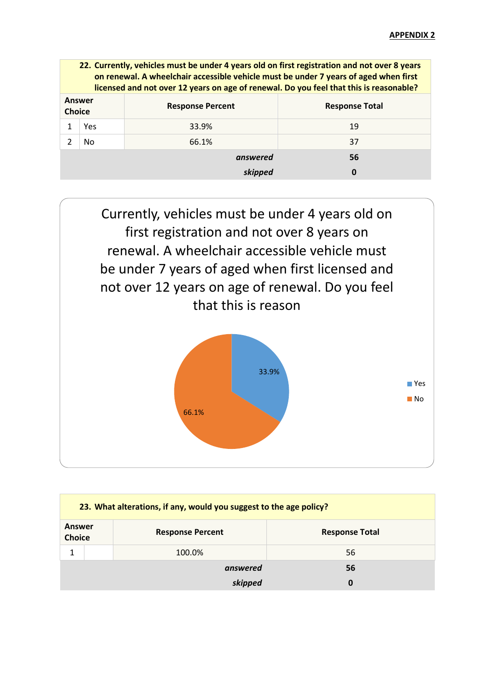| Answer                                                            |  |
|-------------------------------------------------------------------|--|
| <b>Response Percent</b><br><b>Response Total</b><br><b>Choice</b> |  |
| 33.9%<br>19<br>Yes                                                |  |
| 66.1%<br>າ<br>37<br>N <sub>0</sub>                                |  |
| answered<br>56                                                    |  |
| skipped<br>0                                                      |  |



| 23. What alterations, if any, would you suggest to the age policy? |              |                         |                       |  |
|--------------------------------------------------------------------|--------------|-------------------------|-----------------------|--|
| Answer<br><b>Choice</b>                                            |              | <b>Response Percent</b> | <b>Response Total</b> |  |
| 1                                                                  |              | 100.0%                  | 56                    |  |
|                                                                    |              | answered                | 56                    |  |
|                                                                    | skipped<br>0 |                         |                       |  |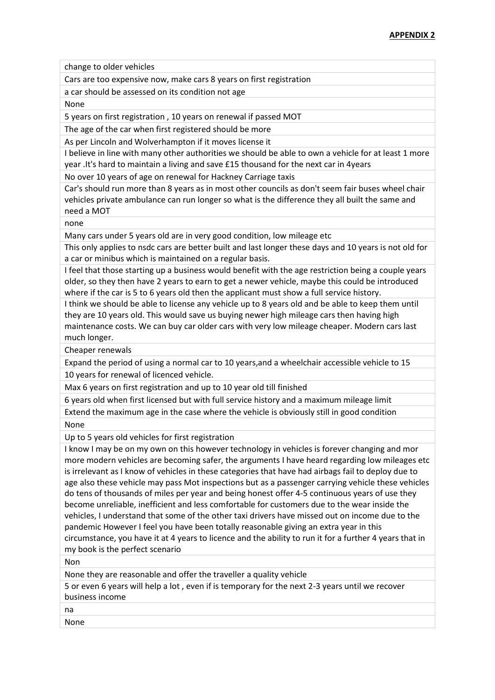change to older vehicles

Cars are too expensive now, make cars 8 years on first registration

a car should be assessed on its condition not age

None

5 years on first registration , 10 years on renewal if passed MOT

The age of the car when first registered should be more

As per Lincoln and Wolverhampton if it moves license it

I believe in line with many other authorities we should be able to own a vehicle for at least 1 more year .It's hard to maintain a living and save £15 thousand for the next car in 4years

No over 10 years of age on renewal for Hackney Carriage taxis

Car's should run more than 8 years as in most other councils as don't seem fair buses wheel chair vehicles private ambulance can run longer so what is the difference they all built the same and need a MOT

none

Many cars under 5 years old are in very good condition, low mileage etc

This only applies to nsdc cars are better built and last longer these days and 10 years is not old for a car or minibus which is maintained on a regular basis.

I feel that those starting up a business would benefit with the age restriction being a couple years older, so they then have 2 years to earn to get a newer vehicle, maybe this could be introduced where if the car is 5 to 6 years old then the applicant must show a full service history.

I think we should be able to license any vehicle up to 8 years old and be able to keep them until they are 10 years old. This would save us buying newer high mileage cars then having high maintenance costs. We can buy car older cars with very low mileage cheaper. Modern cars last much longer.

Cheaper renewals

Expand the period of using a normal car to 10 years,and a wheelchair accessible vehicle to 15 10 years for renewal of licenced vehicle.

Max 6 years on first registration and up to 10 year old till finished

6 years old when first licensed but with full service history and a maximum mileage limit

Extend the maximum age in the case where the vehicle is obviously still in good condition None

Up to 5 years old vehicles for first registration

I know I may be on my own on this however technology in vehicles is forever changing and mor more modern vehicles are becoming safer, the arguments I have heard regarding low mileages etc is irrelevant as I know of vehicles in these categories that have had airbags fail to deploy due to age also these vehicle may pass Mot inspections but as a passenger carrying vehicle these vehicles do tens of thousands of miles per year and being honest offer 4-5 continuous years of use they become unreliable, inefficient and less comfortable for customers due to the wear inside the vehicles, I understand that some of the other taxi drivers have missed out on income due to the pandemic However I feel you have been totally reasonable giving an extra year in this circumstance, you have it at 4 years to licence and the ability to run it for a further 4 years that in my book is the perfect scenario

Non

None they are reasonable and offer the traveller a quality vehicle

5 or even 6 years will help a lot , even if is temporary for the next 2-3 years until we recover business income

na

None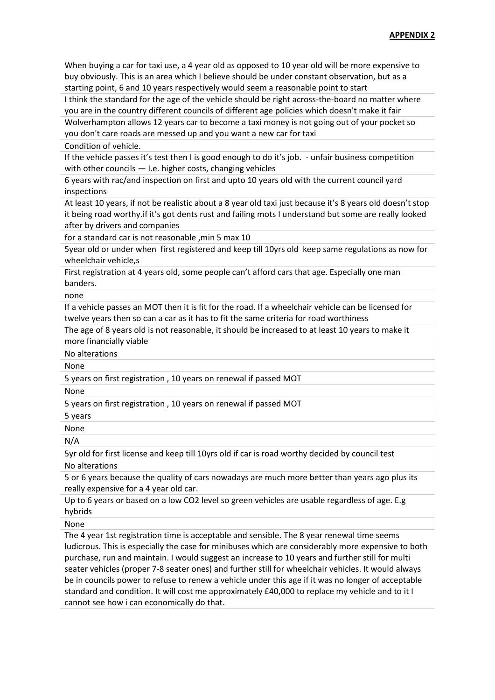When buying a car for taxi use, a 4 year old as opposed to 10 year old will be more expensive to buy obviously. This is an area which I believe should be under constant observation, but as a starting point, 6 and 10 years respectively would seem a reasonable point to start

I think the standard for the age of the vehicle should be right across-the-board no matter where you are in the country different councils of different age policies which doesn't make it fair Wolverhampton allows 12 years car to become a taxi money is not going out of your pocket so

you don't care roads are messed up and you want a new car for taxi

Condition of vehicle.

If the vehicle passes it's test then I is good enough to do it's job. - unfair business competition with other councils — I.e. higher costs, changing vehicles

6 years with rac/and inspection on first and upto 10 years old with the current council yard inspections

At least 10 years, if not be realistic about a 8 year old taxi just because it's 8 years old doesn't stop it being road worthy.if it's got dents rust and failing mots I understand but some are really looked after by drivers and companies

for a standard car is not reasonable ,min 5 max 10

5year old or under when first registered and keep till 10yrs old keep same regulations as now for wheelchair vehicle,s

First registration at 4 years old, some people can't afford cars that age. Especially one man banders.

none

If a vehicle passes an MOT then it is fit for the road. If a wheelchair vehicle can be licensed for twelve years then so can a car as it has to fit the same criteria for road worthiness

The age of 8 years old is not reasonable, it should be increased to at least 10 years to make it more financially viable

No alterations

None

5 years on first registration , 10 years on renewal if passed MOT

None

5 years on first registration , 10 years on renewal if passed MOT

5 years

None

N/A

5yr old for first license and keep till 10yrs old if car is road worthy decided by council test No alterations

5 or 6 years because the quality of cars nowadays are much more better than years ago plus its really expensive for a 4 year old car.

Up to 6 years or based on a low CO2 level so green vehicles are usable regardless of age. E.g hybrids

None

The 4 year 1st registration time is acceptable and sensible. The 8 year renewal time seems ludicrous. This is especially the case for minibuses which are considerably more expensive to both purchase, run and maintain. I would suggest an increase to 10 years and further still for multi seater vehicles (proper 7-8 seater ones) and further still for wheelchair vehicles. It would always be in councils power to refuse to renew a vehicle under this age if it was no longer of acceptable standard and condition. It will cost me approximately £40,000 to replace my vehicle and to it I cannot see how i can economically do that.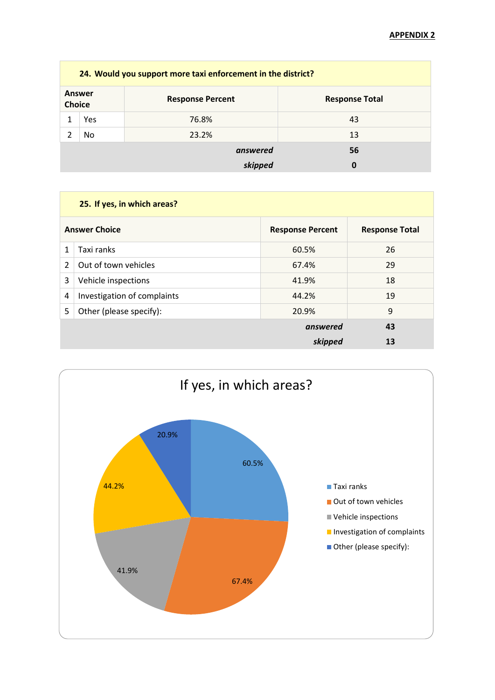|                         | 24. Would you support more taxi enforcement in the district? |                         |                       |  |  |
|-------------------------|--------------------------------------------------------------|-------------------------|-----------------------|--|--|
| Answer<br><b>Choice</b> |                                                              | <b>Response Percent</b> | <b>Response Total</b> |  |  |
|                         | Yes                                                          | 76.8%                   | 43                    |  |  |
|                         | No                                                           | 23.2%                   | 13                    |  |  |
|                         |                                                              | answered                | 56                    |  |  |
|                         |                                                              | skipped                 |                       |  |  |

|                      | 25. If yes, in which areas? |                         |                       |  |
|----------------------|-----------------------------|-------------------------|-----------------------|--|
| <b>Answer Choice</b> |                             | <b>Response Percent</b> | <b>Response Total</b> |  |
| 1                    | Taxi ranks                  | 60.5%                   | 26                    |  |
| $\overline{2}$       | Out of town vehicles        | 67.4%                   | 29                    |  |
| 3                    | Vehicle inspections         | 41.9%                   | 18                    |  |
| 4                    | Investigation of complaints | 44.2%                   | 19                    |  |
| 5                    | Other (please specify):     | 20.9%                   | 9                     |  |
|                      |                             | answered                | 43                    |  |
|                      |                             | skipped                 | 13                    |  |
|                      |                             |                         |                       |  |

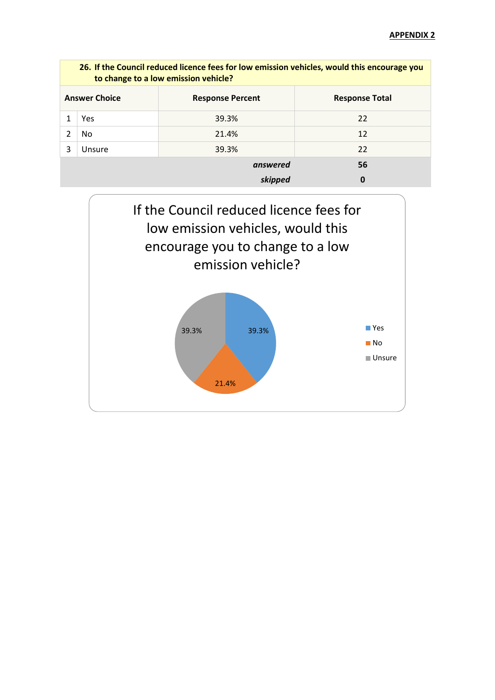|                      | 26. If the Council reduced licence fees for low emission vehicles, would this encourage you<br>to change to a low emission vehicle? |                         |                       |  |
|----------------------|-------------------------------------------------------------------------------------------------------------------------------------|-------------------------|-----------------------|--|
| <b>Answer Choice</b> |                                                                                                                                     | <b>Response Percent</b> | <b>Response Total</b> |  |
|                      | Yes                                                                                                                                 | 39.3%                   | 22                    |  |
| 2                    | No.                                                                                                                                 | 21.4%                   | 12                    |  |
| 3<br>Unsure          |                                                                                                                                     | 39.3%                   | 22                    |  |
|                      |                                                                                                                                     | answered                | 56                    |  |
|                      |                                                                                                                                     | skipped                 | 0                     |  |

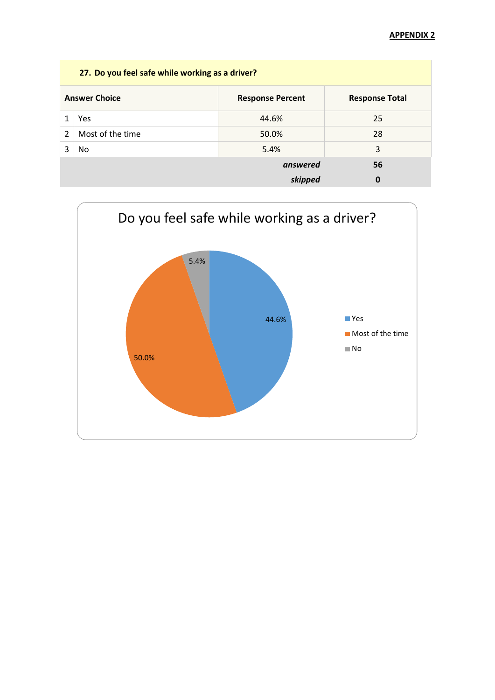|                | 27. Do you feel safe while working as a driver?                          |          |    |  |  |
|----------------|--------------------------------------------------------------------------|----------|----|--|--|
|                | <b>Answer Choice</b><br><b>Response Total</b><br><b>Response Percent</b> |          |    |  |  |
|                | Yes                                                                      | 44.6%    | 25 |  |  |
| $\overline{2}$ | Most of the time                                                         | 50.0%    | 28 |  |  |
| 3              | No                                                                       | 5.4%     | 3  |  |  |
|                |                                                                          | answered | 56 |  |  |
|                | 0<br>skipped                                                             |          |    |  |  |

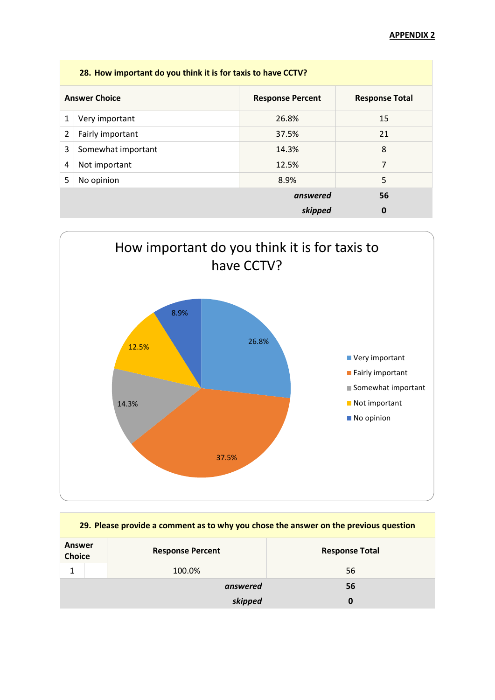|   | 28. How important do you think it is for taxis to have CCTV? |                       |    |  |
|---|--------------------------------------------------------------|-----------------------|----|--|
|   | <b>Answer Choice</b>                                         | <b>Response Total</b> |    |  |
| 1 | Very important                                               | 26.8%                 | 15 |  |
| 2 | Fairly important                                             | 37.5%                 | 21 |  |
| 3 | Somewhat important                                           | 14.3%                 | 8  |  |
| 4 | Not important                                                | 12.5%                 | 7  |  |
| 5 | No opinion                                                   | 8.9%                  | 5  |  |
|   |                                                              | answered              | 56 |  |
|   |                                                              | skipped               | 0  |  |



| 29. Please provide a comment as to why you chose the answer on the previous question |                         |                       |  |
|--------------------------------------------------------------------------------------|-------------------------|-----------------------|--|
| <b>Answer</b><br><b>Choice</b>                                                       | <b>Response Percent</b> | <b>Response Total</b> |  |
| 1                                                                                    | 100.0%                  | 56                    |  |
|                                                                                      | answered                | 56                    |  |
|                                                                                      | skipped                 | 0                     |  |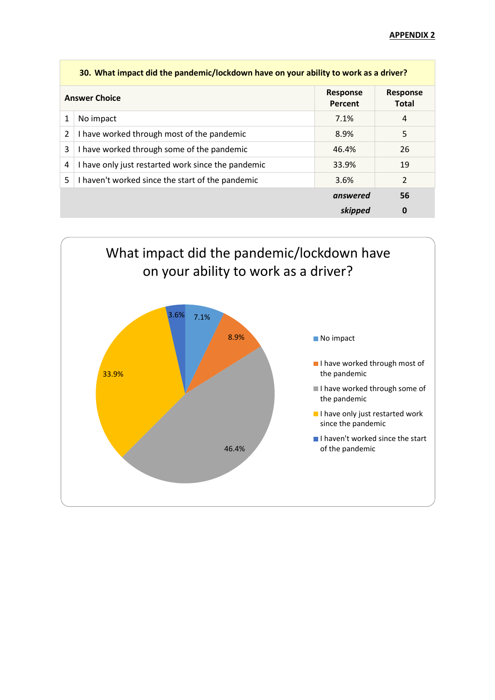|                      | 30. What impact did the pandemic/lockdown have on your ability to work as a driver? |                            |                                 |  |
|----------------------|-------------------------------------------------------------------------------------|----------------------------|---------------------------------|--|
| <b>Answer Choice</b> |                                                                                     | <b>Response</b><br>Percent | <b>Response</b><br><b>Total</b> |  |
| 1                    | No impact                                                                           | 7.1%                       | 4                               |  |
| 2                    | I have worked through most of the pandemic                                          | 8.9%                       | 5                               |  |
| 3                    | I have worked through some of the pandemic                                          | 46.4%                      | 26                              |  |
| 4                    | I have only just restarted work since the pandemic                                  | 33.9%                      | 19                              |  |
| 5                    | I haven't worked since the start of the pandemic<br>3.6%                            |                            |                                 |  |
|                      |                                                                                     | answered                   | 56                              |  |
|                      |                                                                                     | skipped                    | 0                               |  |

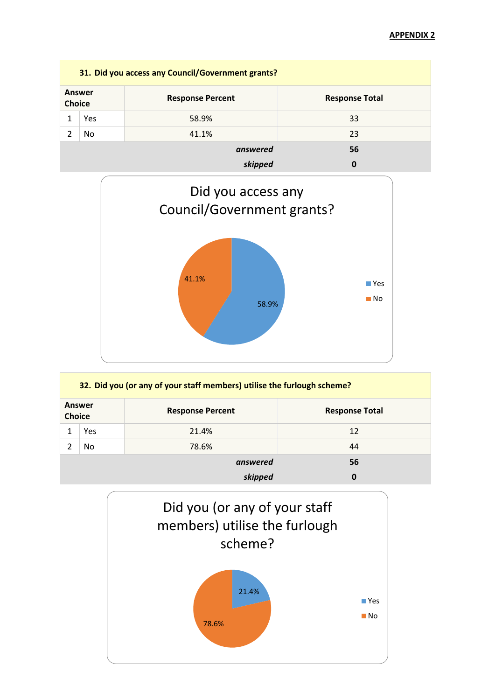| 31. Did you access any Council/Government grants? |     |                         |                       |  |
|---------------------------------------------------|-----|-------------------------|-----------------------|--|
| <b>Answer</b><br><b>Choice</b>                    |     | <b>Response Percent</b> | <b>Response Total</b> |  |
|                                                   | Yes | 58.9%                   | 33                    |  |
|                                                   | No  | 41.1%                   | 23                    |  |
|                                                   |     | answered                | 56                    |  |
|                                                   |     | skipped                 |                       |  |



|               | 32. Did you (or any of your staff members) utilise the furlough scheme? |                         |                       |  |  |
|---------------|-------------------------------------------------------------------------|-------------------------|-----------------------|--|--|
| <b>Choice</b> | Answer                                                                  | <b>Response Percent</b> | <b>Response Total</b> |  |  |
|               | Yes                                                                     | 21.4%                   | 12                    |  |  |
|               | No.                                                                     | 78.6%                   | 44                    |  |  |
|               |                                                                         | answered                | 56                    |  |  |
|               |                                                                         | skipped                 | 0                     |  |  |

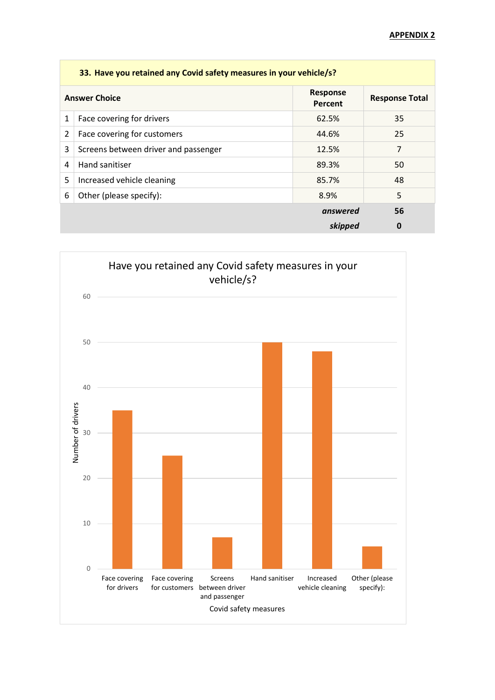|   | 33. Have you retained any Covid safety measures in your vehicle/s? |                            |                       |  |
|---|--------------------------------------------------------------------|----------------------------|-----------------------|--|
|   | <b>Answer Choice</b>                                               | <b>Response</b><br>Percent | <b>Response Total</b> |  |
| 1 | Face covering for drivers                                          | 62.5%                      | 35                    |  |
| 2 | Face covering for customers                                        | 44.6%                      | 25                    |  |
| 3 | Screens between driver and passenger                               | 12.5%                      | 7                     |  |
| 4 | Hand sanitiser                                                     | 89.3%                      | 50                    |  |
| 5 | Increased vehicle cleaning                                         | 85.7%                      | 48                    |  |
| 6 | Other (please specify):                                            | 8.9%                       | 5                     |  |
|   |                                                                    | answered                   | 56                    |  |
|   |                                                                    | skipped                    | 0                     |  |